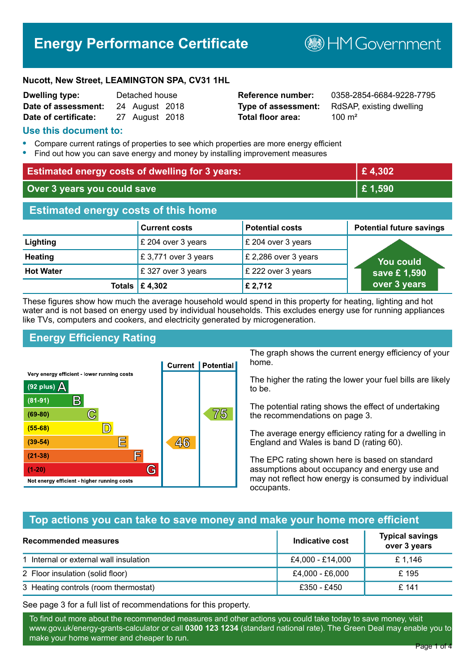## **Energy Performance Certificate**

**B**HM Government

#### **Nucott, New Street, LEAMINGTON SPA, CV31 1HL**

| <b>Dwelling type:</b> | Detached house |                |  |
|-----------------------|----------------|----------------|--|
| Date of assessment:   |                | 24 August 2018 |  |
| Date of certificate:  |                | 27 August 2018 |  |

# **Total floor area:** 200 m<sup>2</sup>

**Reference number:** 0358-2854-6684-9228-7795 **Type of assessment:** RdSAP, existing dwelling

#### **Use this document to:**

- **•** Compare current ratings of properties to see which properties are more energy efficient
- **•** Find out how you can save energy and money by installing improvement measures

| <b>Estimated energy costs of dwelling for 3 years:</b> |                                            |                        | £4,302                          |
|--------------------------------------------------------|--------------------------------------------|------------------------|---------------------------------|
| Over 3 years you could save                            |                                            | £1,590                 |                                 |
| <b>Estimated energy costs of this home</b>             |                                            |                        |                                 |
|                                                        | <b>Current costs</b>                       | <b>Potential costs</b> | <b>Potential future savings</b> |
| Lighting                                               | £ 204 over 3 years                         | £ 204 over 3 years     |                                 |
| <b>Heating</b>                                         | £3,771 over 3 years                        | £ 2,286 over 3 years   | <b>You could</b>                |
| <b>Hot Water</b>                                       | £327 over 3 years                          | £ 222 over 3 years     | save £1,590                     |
|                                                        | Totals $\mathbf \mathbf \mathbf 2$ £ 4,302 | £ 2,712                | over 3 years                    |

These figures show how much the average household would spend in this property for heating, lighting and hot water and is not based on energy used by individual households. This excludes energy use for running appliances like TVs, computers and cookers, and electricity generated by microgeneration.

#### **Energy Efficiency Rating**



The graph shows the current energy efficiency of your home.

The higher the rating the lower your fuel bills are likely to be.

The potential rating shows the effect of undertaking the recommendations on page 3.

The average energy efficiency rating for a dwelling in England and Wales is band D (rating 60).

The EPC rating shown here is based on standard assumptions about occupancy and energy use and may not reflect how energy is consumed by individual occupants.

#### **Top actions you can take to save money and make your home more efficient**

| Recommended measures                   | Indicative cost  | <b>Typical savings</b><br>over 3 years |
|----------------------------------------|------------------|----------------------------------------|
| 1 Internal or external wall insulation | £4,000 - £14,000 | £ 1,146                                |
| 2 Floor insulation (solid floor)       | £4,000 - £6,000  | £ 195                                  |
| 3 Heating controls (room thermostat)   | £350 - £450      | £ 141                                  |

See page 3 for a full list of recommendations for this property.

To find out more about the recommended measures and other actions you could take today to save money, visit www.gov.uk/energy-grants-calculator or call **0300 123 1234** (standard national rate). The Green Deal may enable you to make your home warmer and cheaper to run.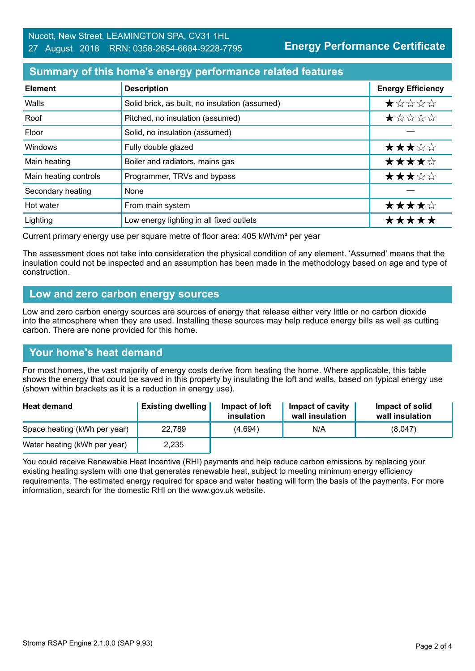#### **Summary of this home's energy performance related features**

| <b>Element</b>        | <b>Description</b>                             | <b>Energy Efficiency</b> |
|-----------------------|------------------------------------------------|--------------------------|
| Walls                 | Solid brick, as built, no insulation (assumed) | *****                    |
| Roof                  | Pitched, no insulation (assumed)               | *****                    |
| Floor                 | Solid, no insulation (assumed)                 |                          |
| Windows               | Fully double glazed                            | ★★★☆☆                    |
| Main heating          | Boiler and radiators, mains gas                | ★★★★☆                    |
| Main heating controls | Programmer, TRVs and bypass                    | ★★★☆☆                    |
| Secondary heating     | None                                           |                          |
| Hot water             | From main system                               | ★★★★☆                    |
| Lighting              | Low energy lighting in all fixed outlets       | *****                    |

Current primary energy use per square metre of floor area: 405 kWh/m² per year

The assessment does not take into consideration the physical condition of any element. 'Assumed' means that the insulation could not be inspected and an assumption has been made in the methodology based on age and type of construction.

#### **Low and zero carbon energy sources**

Low and zero carbon energy sources are sources of energy that release either very little or no carbon dioxide into the atmosphere when they are used. Installing these sources may help reduce energy bills as well as cutting carbon. There are none provided for this home.

#### **Your home's heat demand**

For most homes, the vast majority of energy costs derive from heating the home. Where applicable, this table shows the energy that could be saved in this property by insulating the loft and walls, based on typical energy use (shown within brackets as it is a reduction in energy use).

| <b>Heat demand</b>           | <b>Existing dwelling</b> | Impact of loft<br>insulation | Impact of cavity<br>wall insulation | Impact of solid<br>wall insulation |
|------------------------------|--------------------------|------------------------------|-------------------------------------|------------------------------------|
| Space heating (kWh per year) | 22.789                   | (4,694)                      | N/A                                 | (8,047)                            |
| Water heating (kWh per year) | 2,235                    |                              |                                     |                                    |

You could receive Renewable Heat Incentive (RHI) payments and help reduce carbon emissions by replacing your existing heating system with one that generates renewable heat, subject to meeting minimum energy efficiency requirements. The estimated energy required for space and water heating will form the basis of the payments. For more information, search for the domestic RHI on the www.gov.uk website.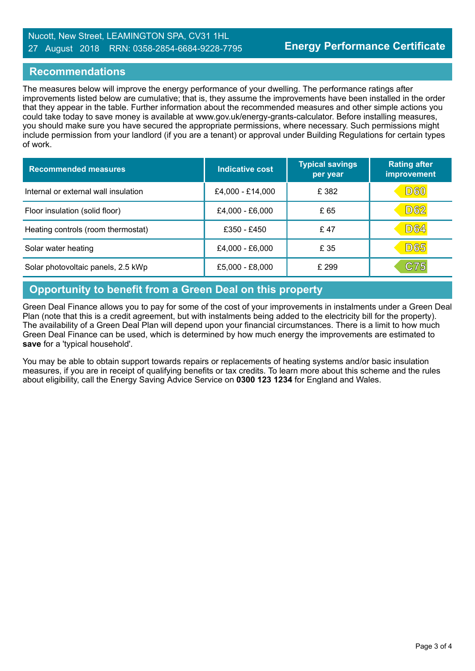#### Nucott, New Street, LEAMINGTON SPA, CV31 1HL 27 August 2018 RRN: 0358-2854-6684-9228-7795

#### **Recommendations**

The measures below will improve the energy performance of your dwelling. The performance ratings after improvements listed below are cumulative; that is, they assume the improvements have been installed in the order that they appear in the table. Further information about the recommended measures and other simple actions you could take today to save money is available at www.gov.uk/energy-grants-calculator. Before installing measures, you should make sure you have secured the appropriate permissions, where necessary. Such permissions might include permission from your landlord (if you are a tenant) or approval under Building Regulations for certain types of work.

| <b>Recommended measures</b>          | Indicative cost  | <b>Typical savings</b><br>per year | <b>Rating after</b><br>improvement |
|--------------------------------------|------------------|------------------------------------|------------------------------------|
| Internal or external wall insulation | £4,000 - £14,000 | £ 382                              | D60                                |
| Floor insulation (solid floor)       | £4,000 - £6,000  | £ 65                               | D62                                |
| Heating controls (room thermostat)   | £350 - £450      | £47                                | <b>D64</b>                         |
| Solar water heating                  | £4,000 - £6,000  | £ 35                               | <b>D65</b>                         |
| Solar photovoltaic panels, 2.5 kWp   | £5,000 - £8,000  | £ 299                              | C75                                |

### **Opportunity to benefit from a Green Deal on this property**

Green Deal Finance allows you to pay for some of the cost of your improvements in instalments under a Green Deal Plan (note that this is a credit agreement, but with instalments being added to the electricity bill for the property). The availability of a Green Deal Plan will depend upon your financial circumstances. There is a limit to how much Green Deal Finance can be used, which is determined by how much energy the improvements are estimated to **save** for a 'typical household'.

You may be able to obtain support towards repairs or replacements of heating systems and/or basic insulation measures, if you are in receipt of qualifying benefits or tax credits. To learn more about this scheme and the rules about eligibility, call the Energy Saving Advice Service on **0300 123 1234** for England and Wales.